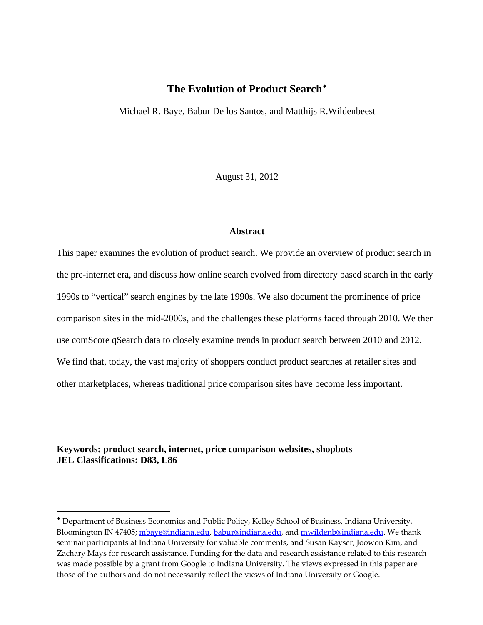# **The Evolution of Product Search**

Michael R. Baye, Babur De los Santos, and Matthijs R.Wildenbeest

August 31, 2012

#### **Abstract**

This paper examines the evolution of product search. We provide an overview of product search in the pre-internet era, and discuss how online search evolved from directory based search in the early 1990s to "vertical" search engines by the late 1990s. We also document the prominence of price comparison sites in the mid-2000s, and the challenges these platforms faced through 2010. We then use comScore qSearch data to closely examine trends in product search between 2010 and 2012. We find that, today, the vast majority of shoppers conduct product searches at retailer sites and other marketplaces, whereas traditional price comparison sites have become less important.

### **Keywords: product search, internet, price comparison websites, shopbots JEL Classifications: D83, L86**

Department of Business Economics and Public Policy, Kelley School of Business, Indiana University, Bloomington IN 47405; mbaye@indiana.edu, babur@indiana.edu, and mwildenb@indiana.edu. We thank seminar participants at Indiana University for valuable comments, and Susan Kayser, Joowon Kim, and Zachary Mays for research assistance. Funding for the data and research assistance related to this research was made possible by a grant from Google to Indiana University. The views expressed in this paper are those of the authors and do not necessarily reflect the views of Indiana University or Google.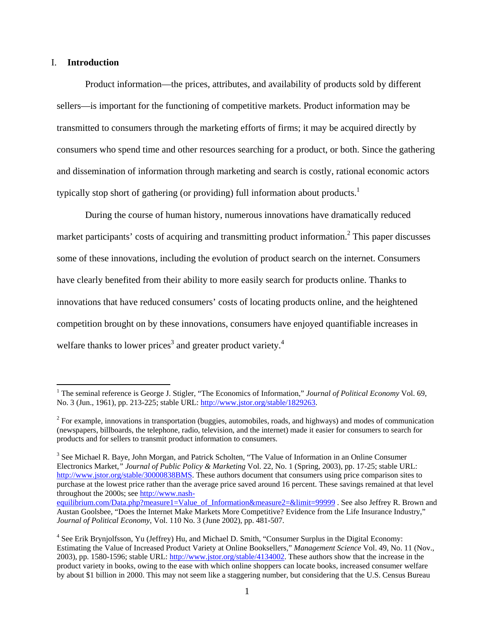#### I. **Introduction**

Product information—the prices, attributes, and availability of products sold by different sellers—is important for the functioning of competitive markets. Product information may be transmitted to consumers through the marketing efforts of firms; it may be acquired directly by consumers who spend time and other resources searching for a product, or both. Since the gathering and dissemination of information through marketing and search is costly, rational economic actors typically stop short of gathering (or providing) full information about products.<sup>1</sup>

During the course of human history, numerous innovations have dramatically reduced market participants' costs of acquiring and transmitting product information.<sup>2</sup> This paper discusses some of these innovations, including the evolution of product search on the internet. Consumers have clearly benefited from their ability to more easily search for products online. Thanks to innovations that have reduced consumers' costs of locating products online, and the heightened competition brought on by these innovations, consumers have enjoyed quantifiable increases in welfare thanks to lower prices<sup>3</sup> and greater product variety.<sup>4</sup>

<sup>3</sup> See Michael R. Baye, John Morgan, and Patrick Scholten, "The Value of Information in an Online Consumer Electronics Market*," Journal of Public Policy & Marketing* Vol. 22, No. 1 (Spring, 2003), pp. 17-25; stable URL: http://www.jstor.org/stable/30000838BMS. These authors document that consumers using price comparison sites to purchase at the lowest price rather than the average price saved around 16 percent. These savings remained at that level throughout the 2000s; see http://www.nashequilibrium.com/Data.php?measure1=Value\_of\_Information&measure2=&limit=99999 . See also Jeffrey R. Brown and

 1 The seminal reference is George J. Stigler, "The Economics of Information," *Journal of Political Economy* Vol. 69, No. 3 (Jun., 1961), pp. 213-225; stable URL: http://www.jstor.org/stable/1829263.

 $2^2$  For example, innovations in transportation (buggies, automobiles, roads, and highways) and modes of communication (newspapers, billboards, the telephone, radio, television, and the internet) made it easier for consumers to search for products and for sellers to transmit product information to consumers.

Austan Goolsbee, "Does the Internet Make Markets More Competitive? Evidence from the Life Insurance Industry," *Journal of Political Economy*, Vol. 110 No. 3 (June 2002), pp. 481-507.

<sup>&</sup>lt;sup>4</sup> See Erik Brynjolfsson, Yu (Jeffrey) Hu, and Michael D. Smith, "Consumer Surplus in the Digital Economy: Estimating the Value of Increased Product Variety at Online Booksellers," *Management Science* Vol. 49, No. 11 (Nov., 2003), pp. 1580-1596; stable URL: http://www.jstor.org/stable/4134002. These authors show that the increase in the product variety in books, owing to the ease with which online shoppers can locate books, increased consumer welfare by about \$1 billion in 2000. This may not seem like a staggering number, but considering that the U.S. Census Bureau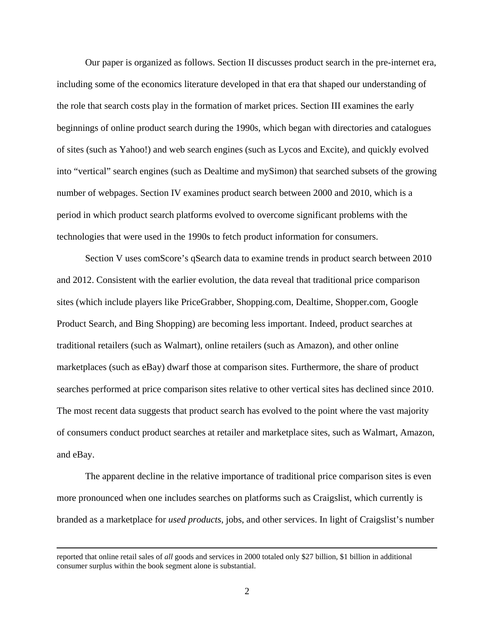Our paper is organized as follows. Section II discusses product search in the pre-internet era, including some of the economics literature developed in that era that shaped our understanding of the role that search costs play in the formation of market prices. Section III examines the early beginnings of online product search during the 1990s, which began with directories and catalogues of sites (such as Yahoo!) and web search engines (such as Lycos and Excite), and quickly evolved into "vertical" search engines (such as Dealtime and mySimon) that searched subsets of the growing number of webpages. Section IV examines product search between 2000 and 2010, which is a period in which product search platforms evolved to overcome significant problems with the technologies that were used in the 1990s to fetch product information for consumers.

Section V uses comScore's qSearch data to examine trends in product search between 2010 and 2012. Consistent with the earlier evolution, the data reveal that traditional price comparison sites (which include players like PriceGrabber, Shopping.com, Dealtime, Shopper.com, Google Product Search, and Bing Shopping) are becoming less important. Indeed, product searches at traditional retailers (such as Walmart), online retailers (such as Amazon), and other online marketplaces (such as eBay) dwarf those at comparison sites. Furthermore, the share of product searches performed at price comparison sites relative to other vertical sites has declined since 2010. The most recent data suggests that product search has evolved to the point where the vast majority of consumers conduct product searches at retailer and marketplace sites, such as Walmart, Amazon, and eBay.

The apparent decline in the relative importance of traditional price comparison sites is even more pronounced when one includes searches on platforms such as Craigslist, which currently is branded as a marketplace for *used products*, jobs, and other services. In light of Craigslist's number

reported that online retail sales of *all* goods and services in 2000 totaled only \$27 billion, \$1 billion in additional consumer surplus within the book segment alone is substantial.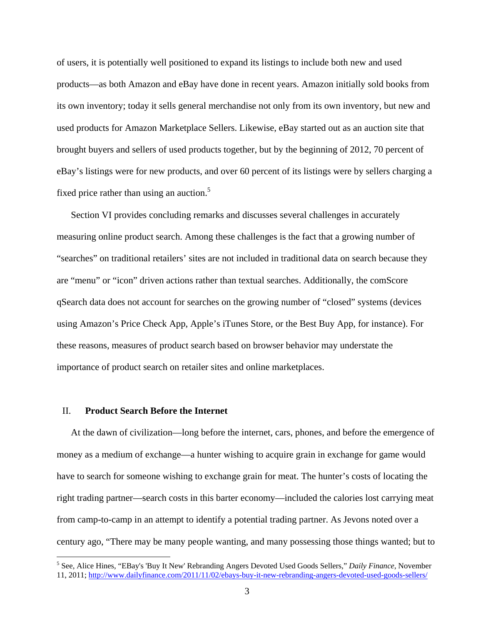of users, it is potentially well positioned to expand its listings to include both new and used products—as both Amazon and eBay have done in recent years. Amazon initially sold books from its own inventory; today it sells general merchandise not only from its own inventory, but new and used products for Amazon Marketplace Sellers. Likewise, eBay started out as an auction site that brought buyers and sellers of used products together, but by the beginning of 2012, 70 percent of eBay's listings were for new products, and over 60 percent of its listings were by sellers charging a fixed price rather than using an auction.<sup>5</sup>

Section VI provides concluding remarks and discusses several challenges in accurately measuring online product search. Among these challenges is the fact that a growing number of "searches" on traditional retailers' sites are not included in traditional data on search because they are "menu" or "icon" driven actions rather than textual searches. Additionally, the comScore qSearch data does not account for searches on the growing number of "closed" systems (devices using Amazon's Price Check App, Apple's iTunes Store, or the Best Buy App, for instance). For these reasons, measures of product search based on browser behavior may understate the importance of product search on retailer sites and online marketplaces.

#### II. **Product Search Before the Internet**

 $\overline{a}$ 

At the dawn of civilization—long before the internet, cars, phones, and before the emergence of money as a medium of exchange—a hunter wishing to acquire grain in exchange for game would have to search for someone wishing to exchange grain for meat. The hunter's costs of locating the right trading partner—search costs in this barter economy—included the calories lost carrying meat from camp-to-camp in an attempt to identify a potential trading partner. As Jevons noted over a century ago, "There may be many people wanting, and many possessing those things wanted; but to

<sup>5</sup> See, Alice Hines, "EBay's 'Buy It New' Rebranding Angers Devoted Used Goods Sellers," *Daily Finance*, November 11, 2011; http://www.dailyfinance.com/2011/11/02/ebays-buy-it-new-rebranding-angers-devoted-used-goods-sellers/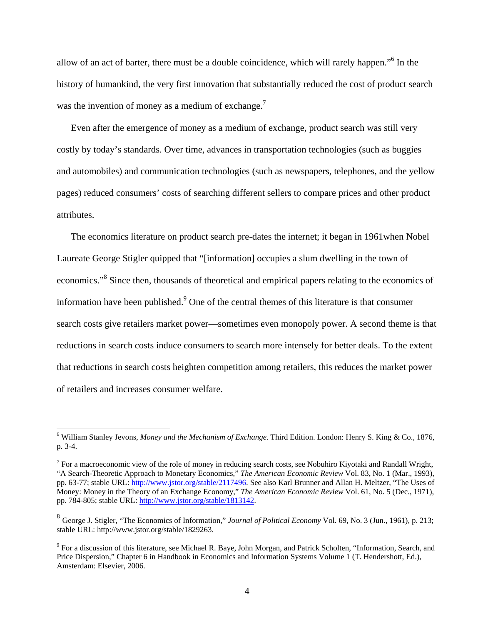allow of an act of barter, there must be a double coincidence, which will rarely happen."<sup>6</sup> In the history of humankind, the very first innovation that substantially reduced the cost of product search was the invention of money as a medium of exchange.<sup>7</sup>

Even after the emergence of money as a medium of exchange, product search was still very costly by today's standards. Over time, advances in transportation technologies (such as buggies and automobiles) and communication technologies (such as newspapers, telephones, and the yellow pages) reduced consumers' costs of searching different sellers to compare prices and other product attributes.

The economics literature on product search pre-dates the internet; it began in 1961when Nobel Laureate George Stigler quipped that "[information] occupies a slum dwelling in the town of economics."<sup>8</sup> Since then, thousands of theoretical and empirical papers relating to the economics of information have been published. $9$  One of the central themes of this literature is that consumer search costs give retailers market power—sometimes even monopoly power. A second theme is that reductions in search costs induce consumers to search more intensely for better deals. To the extent that reductions in search costs heighten competition among retailers, this reduces the market power of retailers and increases consumer welfare.

<sup>6</sup> William Stanley Jevons, *Money and the Mechanism of Exchange*. Third Edition. London: Henry S. King & Co., 1876, p. 3-4.

<sup>&</sup>lt;sup>7</sup> For a macroeconomic view of the role of money in reducing search costs, see Nobuhiro Kiyotaki and Randall Wright, "A Search-Theoretic Approach to Monetary Economics," *The American Economic Review* Vol. 83, No. 1 (Mar., 1993), pp. 63-77; stable URL: http://www.jstor.org/stable/2117496. See also Karl Brunner and Allan H. Meltzer, "The Uses of Money: Money in the Theory of an Exchange Economy," *The American Economic Review* Vol. 61, No. 5 (Dec., 1971), pp. 784-805; stable URL: http://www.jstor.org/stable/1813142.

<sup>8</sup> George J. Stigler, "The Economics of Information," *Journal of Political Economy* Vol. 69, No. 3 (Jun., 1961), p. 213; stable URL: http://www.jstor.org/stable/1829263.

<sup>&</sup>lt;sup>9</sup> For a discussion of this literature, see Michael R. Baye, John Morgan, and Patrick Scholten, "Information, Search, and Price Dispersion," Chapter 6 in Handbook in Economics and Information Systems Volume 1 (T. Hendershott, Ed.), Amsterdam: Elsevier, 2006.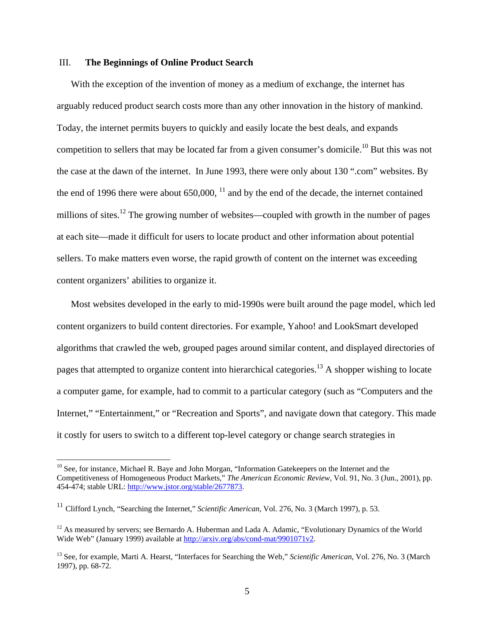#### III. **The Beginnings of Online Product Search**

With the exception of the invention of money as a medium of exchange, the internet has arguably reduced product search costs more than any other innovation in the history of mankind. Today, the internet permits buyers to quickly and easily locate the best deals, and expands competition to sellers that may be located far from a given consumer's domicile.<sup>10</sup> But this was not the case at the dawn of the internet. In June 1993, there were only about 130 ".com" websites. By the end of 1996 there were about  $650,000$ ,  $^{11}$  and by the end of the decade, the internet contained millions of sites.<sup>12</sup> The growing number of websites—coupled with growth in the number of pages at each site—made it difficult for users to locate product and other information about potential sellers. To make matters even worse, the rapid growth of content on the internet was exceeding content organizers' abilities to organize it.

Most websites developed in the early to mid-1990s were built around the page model, which led content organizers to build content directories. For example, Yahoo! and LookSmart developed algorithms that crawled the web, grouped pages around similar content, and displayed directories of pages that attempted to organize content into hierarchical categories.<sup>13</sup> A shopper wishing to locate a computer game, for example, had to commit to a particular category (such as "Computers and the Internet," "Entertainment," or "Recreation and Sports", and navigate down that category. This made it costly for users to switch to a different top-level category or change search strategies in

 $10$  See, for instance, Michael R. Baye and John Morgan, "Information Gatekeepers on the Internet and the Competitiveness of Homogeneous Product Markets," *The American Economic Review*, Vol. 91, No. 3 (Jun., 2001), pp. 454-474; stable URL: http://www.jstor.org/stable/2677873.

<sup>11</sup> Clifford Lynch, "Searching the Internet," *Scientific American*, Vol. 276, No. 3 (March 1997), p. 53.

 $12$  As measured by servers; see Bernardo A. Huberman and Lada A. Adamic, "Evolutionary Dynamics of the World Wide Web" (January 1999) available at http://arxiv.org/abs/cond-mat/9901071v2.

<sup>&</sup>lt;sup>13</sup> See, for example, Marti A. Hearst, "Interfaces for Searching the Web," *Scientific American*, Vol. 276, No. 3 (March 1997), pp. 68-72.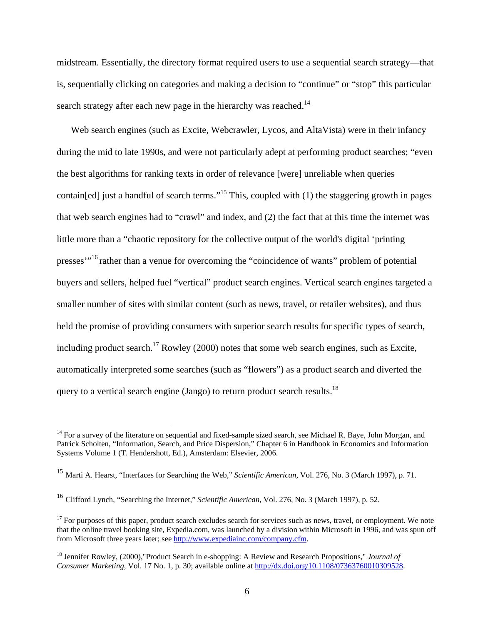midstream. Essentially, the directory format required users to use a sequential search strategy—that is, sequentially clicking on categories and making a decision to "continue" or "stop" this particular search strategy after each new page in the hierarchy was reached.<sup>14</sup>

Web search engines (such as Excite, Webcrawler, Lycos, and AltaVista) were in their infancy during the mid to late 1990s, and were not particularly adept at performing product searches; "even the best algorithms for ranking texts in order of relevance [were] unreliable when queries contain[ed] just a handful of search terms."<sup>15</sup> This, coupled with (1) the staggering growth in pages that web search engines had to "crawl" and index, and (2) the fact that at this time the internet was little more than a "chaotic repository for the collective output of the world's digital 'printing presses"<sup>16</sup> rather than a venue for overcoming the "coincidence of wants" problem of potential buyers and sellers, helped fuel "vertical" product search engines. Vertical search engines targeted a smaller number of sites with similar content (such as news, travel, or retailer websites), and thus held the promise of providing consumers with superior search results for specific types of search, including product search.<sup>17</sup> Rowley (2000) notes that some web search engines, such as Excite, automatically interpreted some searches (such as "flowers") as a product search and diverted the query to a vertical search engine (Jango) to return product search results.18

 $14$  For a survey of the literature on sequential and fixed-sample sized search, see Michael R. Baye, John Morgan, and Patrick Scholten, "Information, Search, and Price Dispersion," Chapter 6 in Handbook in Economics and Information Systems Volume 1 (T. Hendershott, Ed.), Amsterdam: Elsevier, 2006.

<sup>15</sup> Marti A. Hearst, "Interfaces for Searching the Web," *Scientific American*, Vol. 276, No. 3 (March 1997), p. 71.

<sup>16</sup> Clifford Lynch, "Searching the Internet," *Scientific American*, Vol. 276, No. 3 (March 1997), p. 52.

 $17$  For purposes of this paper, product search excludes search for services such as news, travel, or employment. We note that the online travel booking site, Expedia.com, was launched by a division within Microsoft in 1996, and was spun off from Microsoft three years later; see http://www.expediainc.com/company.cfm.

<sup>18</sup> Jennifer Rowley, (2000),"Product Search in e-shopping: A Review and Research Propositions," *Journal of Consumer Marketing*, Vol. 17 No. 1, p. 30; available online at http://dx.doi.org/10.1108/07363760010309528.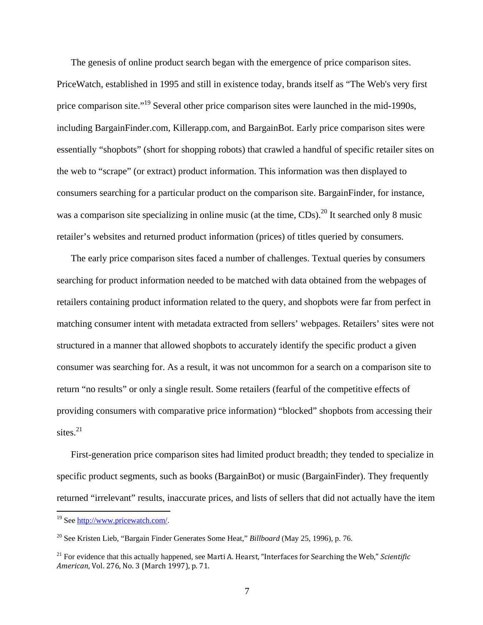The genesis of online product search began with the emergence of price comparison sites. PriceWatch, established in 1995 and still in existence today, brands itself as "The Web's very first price comparison site."19 Several other price comparison sites were launched in the mid-1990s, including BargainFinder.com, Killerapp.com, and BargainBot. Early price comparison sites were essentially "shopbots" (short for shopping robots) that crawled a handful of specific retailer sites on the web to "scrape" (or extract) product information. This information was then displayed to consumers searching for a particular product on the comparison site. BargainFinder, for instance, was a comparison site specializing in online music (at the time,  $CDs$ ).<sup>20</sup> It searched only 8 music retailer's websites and returned product information (prices) of titles queried by consumers.

The early price comparison sites faced a number of challenges. Textual queries by consumers searching for product information needed to be matched with data obtained from the webpages of retailers containing product information related to the query, and shopbots were far from perfect in matching consumer intent with metadata extracted from sellers' webpages. Retailers' sites were not structured in a manner that allowed shopbots to accurately identify the specific product a given consumer was searching for. As a result, it was not uncommon for a search on a comparison site to return "no results" or only a single result. Some retailers (fearful of the competitive effects of providing consumers with comparative price information) "blocked" shopbots from accessing their sites. $^{21}$ 

First-generation price comparison sites had limited product breadth; they tended to specialize in specific product segments, such as books (BargainBot) or music (BargainFinder). They frequently returned "irrelevant" results, inaccurate prices, and lists of sellers that did not actually have the item

1

<sup>19</sup> See http://www.pricewatch.com/.

<sup>20</sup> See Kristen Lieb, "Bargain Finder Generates Some Heat," *Billboard* (May 25, 1996), p. 76.

<sup>&</sup>lt;sup>21</sup> For evidence that this actually happened, see Marti A. Hearst, "Interfaces for Searching the Web." Scientific *American*, *Vol.* 276, *No.* 3 (March 1997), p. 71.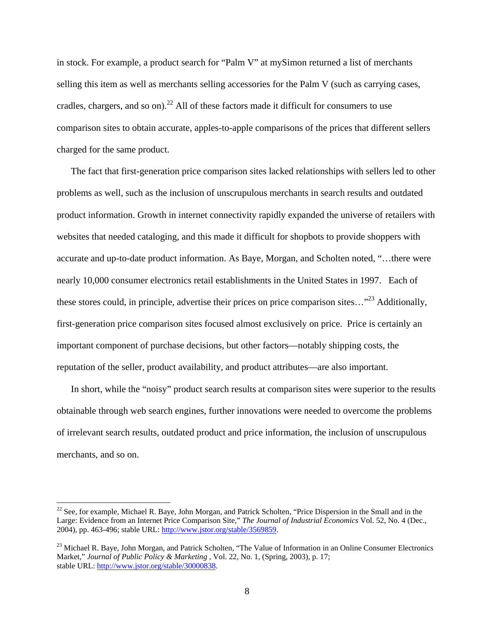in stock. For example, a product search for "Palm V" at mySimon returned a list of merchants selling this item as well as merchants selling accessories for the Palm V (such as carrying cases, cradles, chargers, and so on).<sup>22</sup> All of these factors made it difficult for consumers to use comparison sites to obtain accurate, apples-to-apple comparisons of the prices that different sellers charged for the same product.

The fact that first-generation price comparison sites lacked relationships with sellers led to other problems as well, such as the inclusion of unscrupulous merchants in search results and outdated product information. Growth in internet connectivity rapidly expanded the universe of retailers with websites that needed cataloging, and this made it difficult for shopbots to provide shoppers with accurate and up-to-date product information. As Baye, Morgan, and Scholten noted, "…there were nearly 10,000 consumer electronics retail establishments in the United States in 1997. Each of these stores could, in principle, advertise their prices on price comparison sites... $r^{23}$  Additionally, first-generation price comparison sites focused almost exclusively on price. Price is certainly an important component of purchase decisions, but other factors—notably shipping costs, the reputation of the seller, product availability, and product attributes—are also important.

In short, while the "noisy" product search results at comparison sites were superior to the results obtainable through web search engines, further innovations were needed to overcome the problems of irrelevant search results, outdated product and price information, the inclusion of unscrupulous merchants, and so on.

<u>.</u>

 $22$  See, for example, Michael R. Baye, John Morgan, and Patrick Scholten, "Price Dispersion in the Small and in the Large: Evidence from an Internet Price Comparison Site," *The Journal of Industrial Economics* Vol. 52, No. 4 (Dec., 2004), pp. 463-496; stable URL: http://www.jstor.org/stable/3569859.

<sup>&</sup>lt;sup>23</sup> Michael R. Baye, John Morgan, and Patrick Scholten, "The Value of Information in an Online Consumer Electronics Market," *Journal of Public Policy & Marketing* , Vol. 22, No. 1, (Spring, 2003), p. 17; stable URL: http://www.jstor.org/stable/30000838.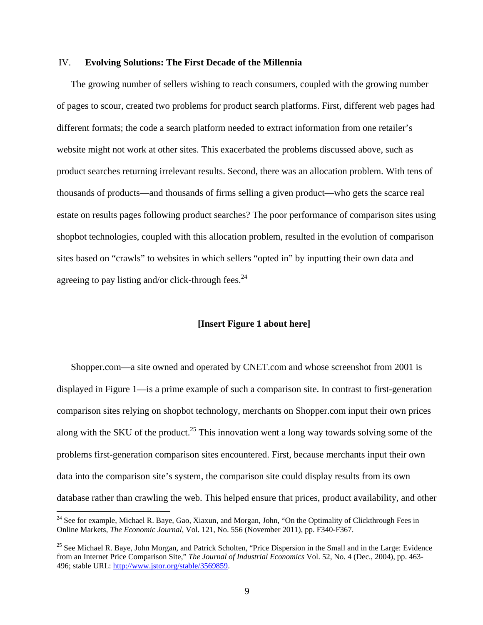#### IV. **Evolving Solutions: The First Decade of the Millennia**

The growing number of sellers wishing to reach consumers, coupled with the growing number of pages to scour, created two problems for product search platforms. First, different web pages had different formats; the code a search platform needed to extract information from one retailer's website might not work at other sites. This exacerbated the problems discussed above, such as product searches returning irrelevant results. Second, there was an allocation problem. With tens of thousands of products—and thousands of firms selling a given product—who gets the scarce real estate on results pages following product searches? The poor performance of comparison sites using shopbot technologies, coupled with this allocation problem, resulted in the evolution of comparison sites based on "crawls" to websites in which sellers "opted in" by inputting their own data and agreeing to pay listing and/or click-through fees. $24$ 

#### **[Insert Figure 1 about here]**

Shopper.com—a site owned and operated by CNET.com and whose screenshot from 2001 is displayed in Figure 1—is a prime example of such a comparison site. In contrast to first-generation comparison sites relying on shopbot technology, merchants on Shopper.com input their own prices along with the SKU of the product.<sup>25</sup> This innovation went a long way towards solving some of the problems first-generation comparison sites encountered. First, because merchants input their own data into the comparison site's system, the comparison site could display results from its own database rather than crawling the web. This helped ensure that prices, product availability, and other

<sup>&</sup>lt;sup>24</sup> See for example, Michael R. Baye, Gao, Xiaxun, and Morgan, John, "On the Optimality of Clickthrough Fees in Online Markets, *The Economic Journal*, Vol. 121, No. 556 (November 2011), pp. F340-F367.

<sup>&</sup>lt;sup>25</sup> See Michael R. Baye, John Morgan, and Patrick Scholten, "Price Dispersion in the Small and in the Large: Evidence from an Internet Price Comparison Site," *The Journal of Industrial Economics* Vol. 52, No. 4 (Dec., 2004), pp. 463- 496; stable URL: http://www.jstor.org/stable/3569859.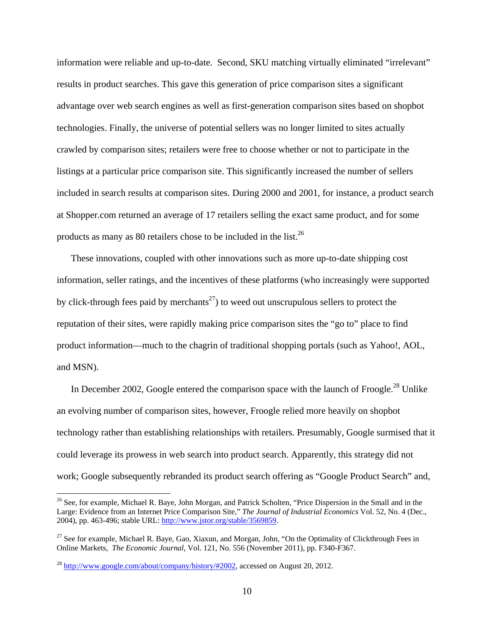information were reliable and up-to-date. Second, SKU matching virtually eliminated "irrelevant" results in product searches. This gave this generation of price comparison sites a significant advantage over web search engines as well as first-generation comparison sites based on shopbot technologies. Finally, the universe of potential sellers was no longer limited to sites actually crawled by comparison sites; retailers were free to choose whether or not to participate in the listings at a particular price comparison site. This significantly increased the number of sellers included in search results at comparison sites. During 2000 and 2001, for instance, a product search at Shopper.com returned an average of 17 retailers selling the exact same product, and for some products as many as 80 retailers chose to be included in the list.<sup>26</sup>

These innovations, coupled with other innovations such as more up-to-date shipping cost information, seller ratings, and the incentives of these platforms (who increasingly were supported by click-through fees paid by merchants<sup>27</sup>) to weed out unscrupulous sellers to protect the reputation of their sites, were rapidly making price comparison sites the "go to" place to find product information—much to the chagrin of traditional shopping portals (such as Yahoo!, AOL, and MSN).

In December 2002, Google entered the comparison space with the launch of Froogle.<sup>28</sup> Unlike an evolving number of comparison sites, however, Froogle relied more heavily on shopbot technology rather than establishing relationships with retailers. Presumably, Google surmised that it could leverage its prowess in web search into product search. Apparently, this strategy did not work; Google subsequently rebranded its product search offering as "Google Product Search" and,

1

<sup>&</sup>lt;sup>26</sup> See, for example, Michael R. Baye, John Morgan, and Patrick Scholten, "Price Dispersion in the Small and in the Large: Evidence from an Internet Price Comparison Site," *The Journal of Industrial Economics* Vol. 52, No. 4 (Dec., 2004), pp. 463-496; stable URL: http://www.jstor.org/stable/3569859.

 $27$  See for example, Michael R. Baye, Gao, Xiaxun, and Morgan, John, "On the Optimality of Clickthrough Fees in Online Markets, *The Economic Journal*, Vol. 121, No. 556 (November 2011), pp. F340-F367.

 $^{28}$  http://www.google.com/about/company/history/#2002, accessed on August 20, 2012.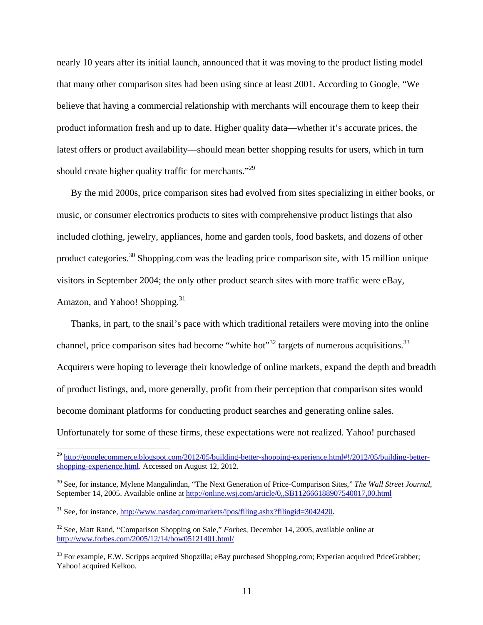nearly 10 years after its initial launch, announced that it was moving to the product listing model that many other comparison sites had been using since at least 2001. According to Google, "We believe that having a commercial relationship with merchants will encourage them to keep their product information fresh and up to date. Higher quality data—whether it's accurate prices, the latest offers or product availability—should mean better shopping results for users, which in turn should create higher quality traffic for merchants."<sup>29</sup>

By the mid 2000s, price comparison sites had evolved from sites specializing in either books, or music, or consumer electronics products to sites with comprehensive product listings that also included clothing, jewelry, appliances, home and garden tools, food baskets, and dozens of other product categories.30 Shopping.com was the leading price comparison site, with 15 million unique visitors in September 2004; the only other product search sites with more traffic were eBay, Amazon, and Yahoo! Shopping.<sup>31</sup>

Thanks, in part, to the snail's pace with which traditional retailers were moving into the online channel, price comparison sites had become "white hot"<sup>32</sup> targets of numerous acquisitions.<sup>33</sup> Acquirers were hoping to leverage their knowledge of online markets, expand the depth and breadth of product listings, and, more generally, profit from their perception that comparison sites would become dominant platforms for conducting product searches and generating online sales. Unfortunately for some of these firms, these expectations were not realized. Yahoo! purchased

<sup>&</sup>lt;sup>29</sup> http://googlecommerce.blogspot.com/2012/05/building-better-shopping-experience.html#!/2012/05/building-bettershopping-experience.html. Accessed on August 12, 2012.

<sup>30</sup> See, for instance, Mylene Mangalindan, "The Next Generation of Price-Comparison Sites," *The Wall Street Journal*, September 14, 2005. Available online at http://online.wsj.com/article/0,,SB112666188907540017,00.html

<sup>&</sup>lt;sup>31</sup> See, for instance, http://www.nasdaq.com/markets/ipos/filing.ashx?filingid=3042420.

<sup>32</sup> See, Matt Rand, "Comparison Shopping on Sale," *Forbes*, December 14, 2005, available online at http://www.forbes.com/2005/12/14/bow05121401.html/

<sup>&</sup>lt;sup>33</sup> For example, E.W. Scripps acquired Shopzilla; eBay purchased Shopping.com; Experian acquired PriceGrabber; Yahoo! acquired Kelkoo.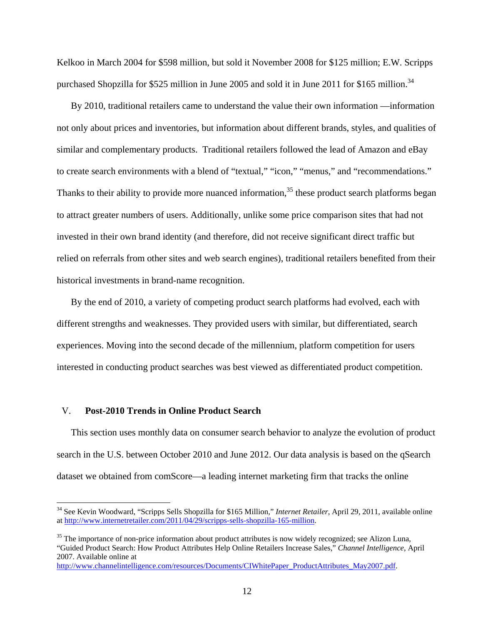Kelkoo in March 2004 for \$598 million, but sold it November 2008 for \$125 million; E.W. Scripps purchased Shopzilla for \$525 million in June 2005 and sold it in June 2011 for \$165 million.<sup>34</sup>

By 2010, traditional retailers came to understand the value their own information —information not only about prices and inventories, but information about different brands, styles, and qualities of similar and complementary products. Traditional retailers followed the lead of Amazon and eBay to create search environments with a blend of "textual," "icon," "menus," and "recommendations." Thanks to their ability to provide more nuanced information,<sup>35</sup> these product search platforms began to attract greater numbers of users. Additionally, unlike some price comparison sites that had not invested in their own brand identity (and therefore, did not receive significant direct traffic but relied on referrals from other sites and web search engines), traditional retailers benefited from their historical investments in brand-name recognition.

By the end of 2010, a variety of competing product search platforms had evolved, each with different strengths and weaknesses. They provided users with similar, but differentiated, search experiences. Moving into the second decade of the millennium, platform competition for users interested in conducting product searches was best viewed as differentiated product competition.

#### V. **Post-2010 Trends in Online Product Search**

 $\overline{a}$ 

This section uses monthly data on consumer search behavior to analyze the evolution of product search in the U.S. between October 2010 and June 2012. Our data analysis is based on the qSearch dataset we obtained from comScore—a leading internet marketing firm that tracks the online

<sup>34</sup> See Kevin Woodward, "Scripps Sells Shopzilla for \$165 Million," *Internet Retailer*, April 29, 2011, available online at http://www.internetretailer.com/2011/04/29/scripps-sells-shopzilla-165-million.

<sup>&</sup>lt;sup>35</sup> The importance of non-price information about product attributes is now widely recognized; see Alizon Luna, "Guided Product Search: How Product Attributes Help Online Retailers Increase Sales," *Channel Intelligence*, April 2007. Available online at

http://www.channelintelligence.com/resources/Documents/CIWhitePaper\_ProductAttributes\_May2007.pdf.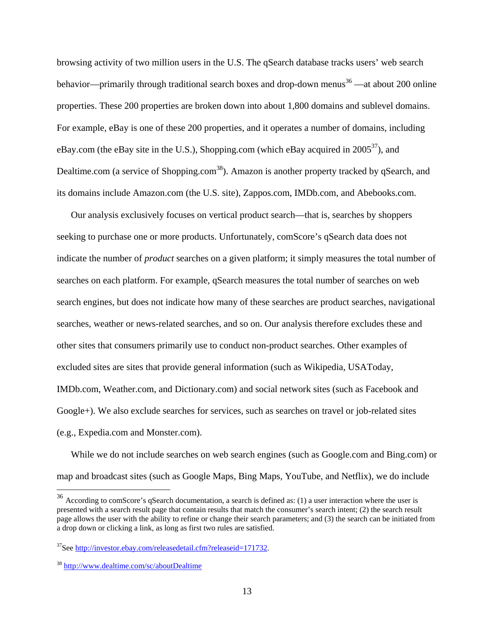browsing activity of two million users in the U.S. The qSearch database tracks users' web search behavior—primarily through traditional search boxes and drop-down menus $36$ —at about 200 online properties. These 200 properties are broken down into about 1,800 domains and sublevel domains. For example, eBay is one of these 200 properties, and it operates a number of domains, including eBay.com (the eBay site in the U.S.), Shopping.com (which eBay acquired in  $2005^{37}$ ), and Dealtime.com (a service of Shopping.com<sup>38</sup>). Amazon is another property tracked by qSearch, and its domains include Amazon.com (the U.S. site), Zappos.com, IMDb.com, and Abebooks.com.

Our analysis exclusively focuses on vertical product search—that is, searches by shoppers seeking to purchase one or more products. Unfortunately, comScore's qSearch data does not indicate the number of *product* searches on a given platform; it simply measures the total number of searches on each platform. For example, qSearch measures the total number of searches on web search engines, but does not indicate how many of these searches are product searches, navigational searches, weather or news-related searches, and so on. Our analysis therefore excludes these and other sites that consumers primarily use to conduct non-product searches. Other examples of excluded sites are sites that provide general information (such as Wikipedia, USAToday, IMDb.com, Weather.com, and Dictionary.com) and social network sites (such as Facebook and Google+). We also exclude searches for services, such as searches on travel or job-related sites (e.g., Expedia.com and Monster.com).

While we do not include searches on web search engines (such as Google.com and Bing.com) or map and broadcast sites (such as Google Maps, Bing Maps, YouTube, and Netflix), we do include

<u>.</u>

<sup>&</sup>lt;sup>36</sup> According to comScore's qSearch documentation, a search is defined as: (1) a user interaction where the user is presented with a search result page that contain results that match the consumer's search intent; (2) the search result page allows the user with the ability to refine or change their search parameters; and (3) the search can be initiated from a drop down or clicking a link, as long as first two rules are satisfied.

<sup>37</sup>See http://investor.ebay.com/releasedetail.cfm?releaseid=171732.

<sup>38</sup> http://www.dealtime.com/sc/aboutDealtime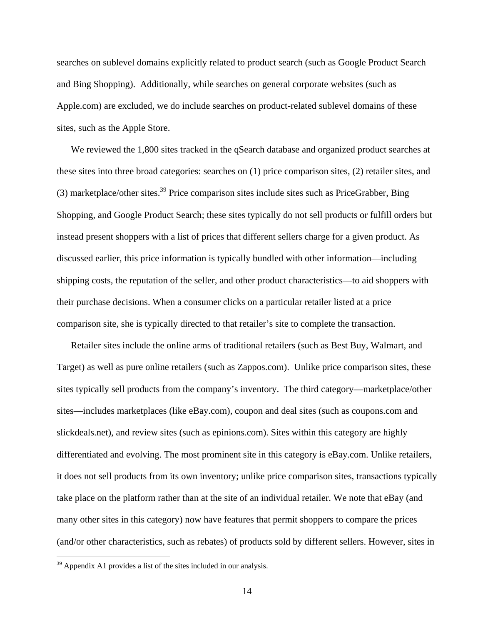searches on sublevel domains explicitly related to product search (such as Google Product Search and Bing Shopping). Additionally, while searches on general corporate websites (such as Apple.com) are excluded, we do include searches on product-related sublevel domains of these sites, such as the Apple Store.

We reviewed the 1,800 sites tracked in the qSearch database and organized product searches at these sites into three broad categories: searches on (1) price comparison sites, (2) retailer sites, and (3) marketplace/other sites.<sup>39</sup> Price comparison sites include sites such as PriceGrabber, Bing Shopping, and Google Product Search; these sites typically do not sell products or fulfill orders but instead present shoppers with a list of prices that different sellers charge for a given product. As discussed earlier, this price information is typically bundled with other information—including shipping costs, the reputation of the seller, and other product characteristics—to aid shoppers with their purchase decisions. When a consumer clicks on a particular retailer listed at a price comparison site, she is typically directed to that retailer's site to complete the transaction.

Retailer sites include the online arms of traditional retailers (such as Best Buy, Walmart, and Target) as well as pure online retailers (such as Zappos.com). Unlike price comparison sites, these sites typically sell products from the company's inventory. The third category—marketplace/other sites—includes marketplaces (like eBay.com), coupon and deal sites (such as coupons.com and slickdeals.net), and review sites (such as epinions.com). Sites within this category are highly differentiated and evolving. The most prominent site in this category is eBay.com. Unlike retailers, it does not sell products from its own inventory; unlike price comparison sites, transactions typically take place on the platform rather than at the site of an individual retailer. We note that eBay (and many other sites in this category) now have features that permit shoppers to compare the prices (and/or other characteristics, such as rebates) of products sold by different sellers. However, sites in

 $39$  Appendix A1 provides a list of the sites included in our analysis.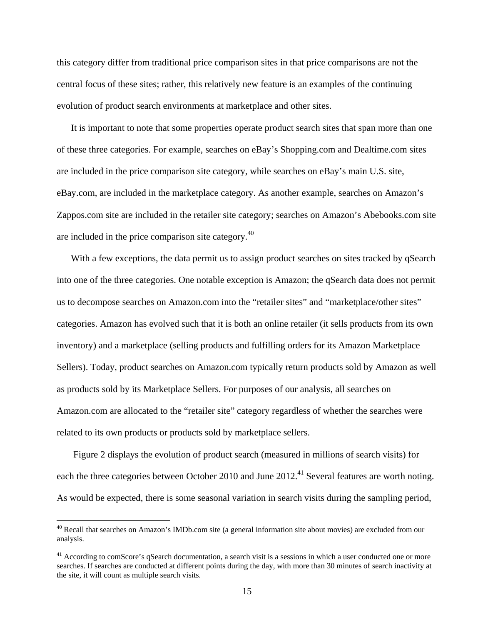this category differ from traditional price comparison sites in that price comparisons are not the central focus of these sites; rather, this relatively new feature is an examples of the continuing evolution of product search environments at marketplace and other sites.

It is important to note that some properties operate product search sites that span more than one of these three categories. For example, searches on eBay's Shopping.com and Dealtime.com sites are included in the price comparison site category, while searches on eBay's main U.S. site, eBay.com, are included in the marketplace category. As another example, searches on Amazon's Zappos.com site are included in the retailer site category; searches on Amazon's Abebooks.com site are included in the price comparison site category.40

With a few exceptions, the data permit us to assign product searches on sites tracked by qSearch into one of the three categories. One notable exception is Amazon; the qSearch data does not permit us to decompose searches on Amazon.com into the "retailer sites" and "marketplace/other sites" categories. Amazon has evolved such that it is both an online retailer (it sells products from its own inventory) and a marketplace (selling products and fulfilling orders for its Amazon Marketplace Sellers). Today, product searches on Amazon.com typically return products sold by Amazon as well as products sold by its Marketplace Sellers. For purposes of our analysis, all searches on Amazon.com are allocated to the "retailer site" category regardless of whether the searches were related to its own products or products sold by marketplace sellers.

 Figure 2 displays the evolution of product search (measured in millions of search visits) for each the three categories between October 2010 and June 2012.<sup>41</sup> Several features are worth noting. As would be expected, there is some seasonal variation in search visits during the sampling period,

 $40$  Recall that searches on Amazon's IMDb.com site (a general information site about movies) are excluded from our analysis.

 $41$  According to comScore's gSearch documentation, a search visit is a sessions in which a user conducted one or more searches. If searches are conducted at different points during the day, with more than 30 minutes of search inactivity at the site, it will count as multiple search visits.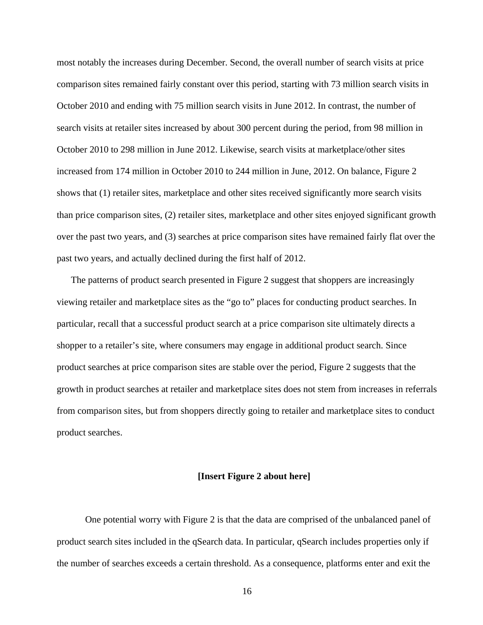most notably the increases during December. Second, the overall number of search visits at price comparison sites remained fairly constant over this period, starting with 73 million search visits in October 2010 and ending with 75 million search visits in June 2012. In contrast, the number of search visits at retailer sites increased by about 300 percent during the period, from 98 million in October 2010 to 298 million in June 2012. Likewise, search visits at marketplace/other sites increased from 174 million in October 2010 to 244 million in June, 2012. On balance, Figure 2 shows that (1) retailer sites, marketplace and other sites received significantly more search visits than price comparison sites, (2) retailer sites, marketplace and other sites enjoyed significant growth over the past two years, and (3) searches at price comparison sites have remained fairly flat over the past two years, and actually declined during the first half of 2012.

The patterns of product search presented in Figure 2 suggest that shoppers are increasingly viewing retailer and marketplace sites as the "go to" places for conducting product searches. In particular, recall that a successful product search at a price comparison site ultimately directs a shopper to a retailer's site, where consumers may engage in additional product search. Since product searches at price comparison sites are stable over the period, Figure 2 suggests that the growth in product searches at retailer and marketplace sites does not stem from increases in referrals from comparison sites, but from shoppers directly going to retailer and marketplace sites to conduct product searches.

#### **[Insert Figure 2 about here]**

 One potential worry with Figure 2 is that the data are comprised of the unbalanced panel of product search sites included in the qSearch data. In particular, qSearch includes properties only if the number of searches exceeds a certain threshold. As a consequence, platforms enter and exit the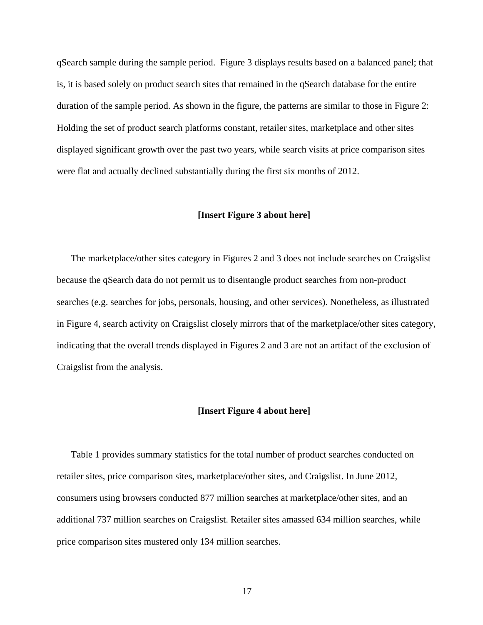qSearch sample during the sample period. Figure 3 displays results based on a balanced panel; that is, it is based solely on product search sites that remained in the qSearch database for the entire duration of the sample period. As shown in the figure, the patterns are similar to those in Figure 2: Holding the set of product search platforms constant, retailer sites, marketplace and other sites displayed significant growth over the past two years, while search visits at price comparison sites were flat and actually declined substantially during the first six months of 2012.

#### **[Insert Figure 3 about here]**

The marketplace/other sites category in Figures 2 and 3 does not include searches on Craigslist because the qSearch data do not permit us to disentangle product searches from non-product searches (e.g. searches for jobs, personals, housing, and other services). Nonetheless, as illustrated in Figure 4, search activity on Craigslist closely mirrors that of the marketplace/other sites category, indicating that the overall trends displayed in Figures 2 and 3 are not an artifact of the exclusion of Craigslist from the analysis.

#### **[Insert Figure 4 about here]**

Table 1 provides summary statistics for the total number of product searches conducted on retailer sites, price comparison sites, marketplace/other sites, and Craigslist. In June 2012, consumers using browsers conducted 877 million searches at marketplace/other sites, and an additional 737 million searches on Craigslist. Retailer sites amassed 634 million searches, while price comparison sites mustered only 134 million searches.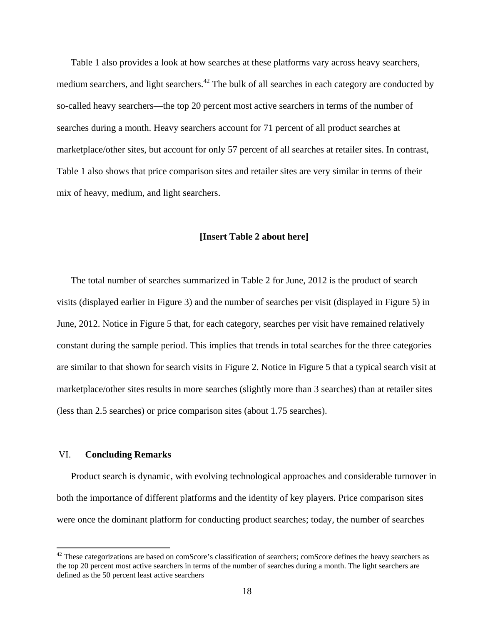Table 1 also provides a look at how searches at these platforms vary across heavy searchers, medium searchers, and light searchers.<sup>42</sup> The bulk of all searches in each category are conducted by so-called heavy searchers—the top 20 percent most active searchers in terms of the number of searches during a month. Heavy searchers account for 71 percent of all product searches at marketplace/other sites, but account for only 57 percent of all searches at retailer sites. In contrast, Table 1 also shows that price comparison sites and retailer sites are very similar in terms of their mix of heavy, medium, and light searchers.

#### **[Insert Table 2 about here]**

The total number of searches summarized in Table 2 for June, 2012 is the product of search visits (displayed earlier in Figure 3) and the number of searches per visit (displayed in Figure 5) in June, 2012. Notice in Figure 5 that, for each category, searches per visit have remained relatively constant during the sample period. This implies that trends in total searches for the three categories are similar to that shown for search visits in Figure 2. Notice in Figure 5 that a typical search visit at marketplace/other sites results in more searches (slightly more than 3 searches) than at retailer sites (less than 2.5 searches) or price comparison sites (about 1.75 searches).

#### VI. **Concluding Remarks**

 $\overline{a}$ 

Product search is dynamic, with evolving technological approaches and considerable turnover in both the importance of different platforms and the identity of key players. Price comparison sites were once the dominant platform for conducting product searches; today, the number of searches

 $42$  These categorizations are based on comScore's classification of searchers; comScore defines the heavy searchers as the top 20 percent most active searchers in terms of the number of searches during a month. The light searchers are defined as the 50 percent least active searchers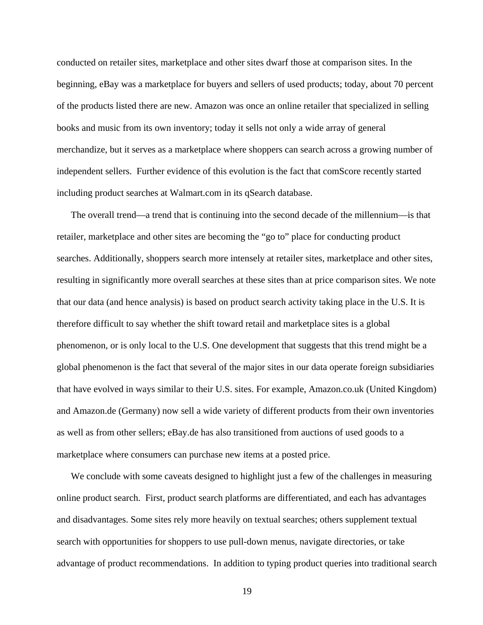conducted on retailer sites, marketplace and other sites dwarf those at comparison sites. In the beginning, eBay was a marketplace for buyers and sellers of used products; today, about 70 percent of the products listed there are new. Amazon was once an online retailer that specialized in selling books and music from its own inventory; today it sells not only a wide array of general merchandize, but it serves as a marketplace where shoppers can search across a growing number of independent sellers. Further evidence of this evolution is the fact that comScore recently started including product searches at Walmart.com in its qSearch database.

The overall trend—a trend that is continuing into the second decade of the millennium—is that retailer, marketplace and other sites are becoming the "go to" place for conducting product searches. Additionally, shoppers search more intensely at retailer sites, marketplace and other sites, resulting in significantly more overall searches at these sites than at price comparison sites. We note that our data (and hence analysis) is based on product search activity taking place in the U.S. It is therefore difficult to say whether the shift toward retail and marketplace sites is a global phenomenon, or is only local to the U.S. One development that suggests that this trend might be a global phenomenon is the fact that several of the major sites in our data operate foreign subsidiaries that have evolved in ways similar to their U.S. sites. For example, Amazon.co.uk (United Kingdom) and Amazon.de (Germany) now sell a wide variety of different products from their own inventories as well as from other sellers; eBay.de has also transitioned from auctions of used goods to a marketplace where consumers can purchase new items at a posted price.

We conclude with some caveats designed to highlight just a few of the challenges in measuring online product search. First, product search platforms are differentiated, and each has advantages and disadvantages. Some sites rely more heavily on textual searches; others supplement textual search with opportunities for shoppers to use pull-down menus, navigate directories, or take advantage of product recommendations. In addition to typing product queries into traditional search

19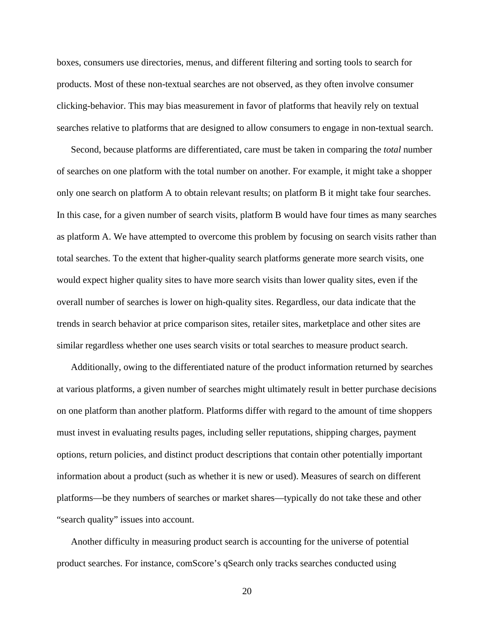boxes, consumers use directories, menus, and different filtering and sorting tools to search for products. Most of these non-textual searches are not observed, as they often involve consumer clicking-behavior. This may bias measurement in favor of platforms that heavily rely on textual searches relative to platforms that are designed to allow consumers to engage in non-textual search.

Second, because platforms are differentiated, care must be taken in comparing the *total* number of searches on one platform with the total number on another. For example, it might take a shopper only one search on platform A to obtain relevant results; on platform B it might take four searches. In this case, for a given number of search visits, platform B would have four times as many searches as platform A. We have attempted to overcome this problem by focusing on search visits rather than total searches. To the extent that higher-quality search platforms generate more search visits, one would expect higher quality sites to have more search visits than lower quality sites, even if the overall number of searches is lower on high-quality sites. Regardless, our data indicate that the trends in search behavior at price comparison sites, retailer sites, marketplace and other sites are similar regardless whether one uses search visits or total searches to measure product search.

Additionally, owing to the differentiated nature of the product information returned by searches at various platforms, a given number of searches might ultimately result in better purchase decisions on one platform than another platform. Platforms differ with regard to the amount of time shoppers must invest in evaluating results pages, including seller reputations, shipping charges, payment options, return policies, and distinct product descriptions that contain other potentially important information about a product (such as whether it is new or used). Measures of search on different platforms—be they numbers of searches or market shares—typically do not take these and other "search quality" issues into account.

Another difficulty in measuring product search is accounting for the universe of potential product searches. For instance, comScore's qSearch only tracks searches conducted using

20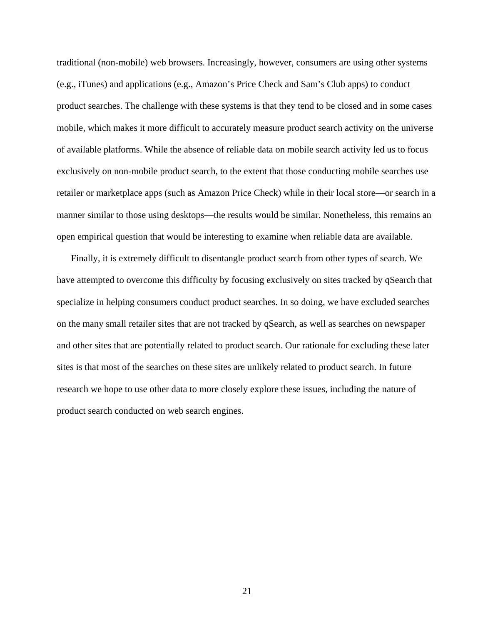traditional (non-mobile) web browsers. Increasingly, however, consumers are using other systems (e.g., iTunes) and applications (e.g., Amazon's Price Check and Sam's Club apps) to conduct product searches. The challenge with these systems is that they tend to be closed and in some cases mobile, which makes it more difficult to accurately measure product search activity on the universe of available platforms. While the absence of reliable data on mobile search activity led us to focus exclusively on non-mobile product search, to the extent that those conducting mobile searches use retailer or marketplace apps (such as Amazon Price Check) while in their local store—or search in a manner similar to those using desktops—the results would be similar. Nonetheless, this remains an open empirical question that would be interesting to examine when reliable data are available.

Finally, it is extremely difficult to disentangle product search from other types of search. We have attempted to overcome this difficulty by focusing exclusively on sites tracked by qSearch that specialize in helping consumers conduct product searches. In so doing, we have excluded searches on the many small retailer sites that are not tracked by qSearch, as well as searches on newspaper and other sites that are potentially related to product search. Our rationale for excluding these later sites is that most of the searches on these sites are unlikely related to product search. In future research we hope to use other data to more closely explore these issues, including the nature of product search conducted on web search engines.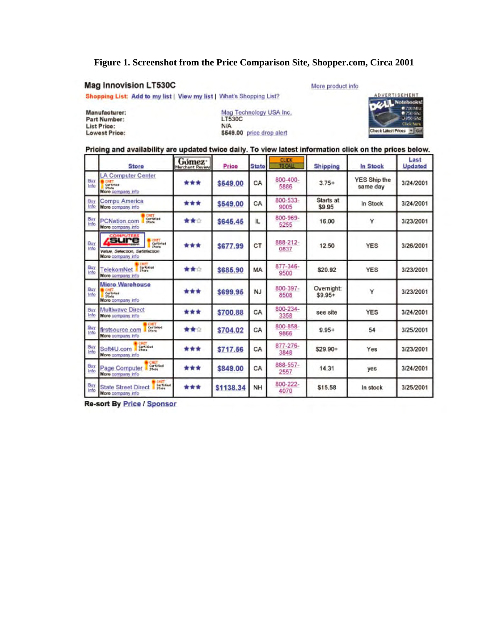# **Figure 1. Screenshot from the Price Comparison Site, Shopper.com, Circa 2001**

## **Mag Innovision LT530C**

#### More product info

Shopping List: Add to my list | View my list | What's Shopping List?

Manufacturer: Part Number: List Price: **Lowest Price:** 

Mag Technology USA Inc.<br>LT530C **N/A** \$549.00 price drop alert



#### Pricing and availability are updated twice daily. To view latest information click on the prices below.

|             | <b>Store</b>                                                                   | Gómez <sup>-</sup><br>Merchant Review | Price     | <b>State</b> | <b>CLICK</b><br>TO CALL | Shipping               | In Stock                        | Last<br>Updated |
|-------------|--------------------------------------------------------------------------------|---------------------------------------|-----------|--------------|-------------------------|------------------------|---------------------------------|-----------------|
| Buy<br>Info | <b>A Computer Center</b><br>Certified<br>Stone<br>More company info            | ***                                   | \$549.00  | CA           | 800-400-<br>5886        | $3.75+$                | <b>YES Ship the</b><br>same day | 3/24/2001       |
| Buy<br>Info | <b>Compu America</b><br>More company info                                      | ***                                   | \$549.00  | CA           | 800-533-<br>9005        | Starts at<br>\$9.95    | In Stock                        | 3/24/2001       |
| Buy<br>Info | Certified<br><b>PCNation.com</b><br><b>Stare</b><br>More company info          | ★★☆                                   | \$645.45  | IL.          | 800-969-<br>5255        | 16.00                  | Y                               | 3/23/2001       |
| Buy<br>Info | <i>sure</i><br>Curtimes<br>Value, Selection, Satisfaction<br>More company info | ***                                   | \$677.99  | CT           | 888-212-<br>0837        | 12.50                  | <b>YES</b>                      | 3/26/2001       |
| Buy<br>Info | Certimies<br>TelekomNet<br>More company info                                   | 查查会                                   | \$685.90  | MA           | 877-346-<br>9500        | \$20.92                | <b>YES</b>                      | 3/23/2001       |
| Buy<br>Info | <b>Micro Warehouse</b><br>Cartified<br>Store<br>More company info              | ***                                   | \$699.95  | <b>NJ</b>    | $800 - 397 -$<br>8508   | Overnight:<br>$$9.95+$ | Y                               | 3/23/2001       |
| Buy<br>Info | <b>Multiwave Direct</b><br>More company info                                   | ***                                   | \$700.88  | CA           | 800-234-<br>3358        | see site               | <b>YES</b>                      | 3/24/2001       |
| Buy<br>Info | Certified<br>Store<br>firstsource.com<br>More company info                     | ★★☆                                   | \$704.02  | CA           | 800-858-<br>9866        | $9.95+$                | 54                              | 3/25/2001       |
| Buy<br>Info | Cartified<br>Stone<br>Soft4U.com<br>More company info                          | ***                                   | \$717.56  | CA           | 877-276-<br>3848        | $$29.90+$              | Yes                             | 3/23/2001       |
| Buy<br>Info | CHET<br>Certified<br>Page Computer<br>Store<br>More company info               | ***                                   | \$849.00  | CA           | 888-557-<br>2557        | 14.31                  | yes                             | 3/24/2001       |
| Buy<br>Info | Cartified<br><b>State Street Direct</b><br><b>STATE</b><br>More company info   | ***                                   | \$1138.34 | NH           | 800-222-<br>4070        | \$15.58                | In stock                        | 3/25/2001       |

**Re-sort By Price / Sponsor**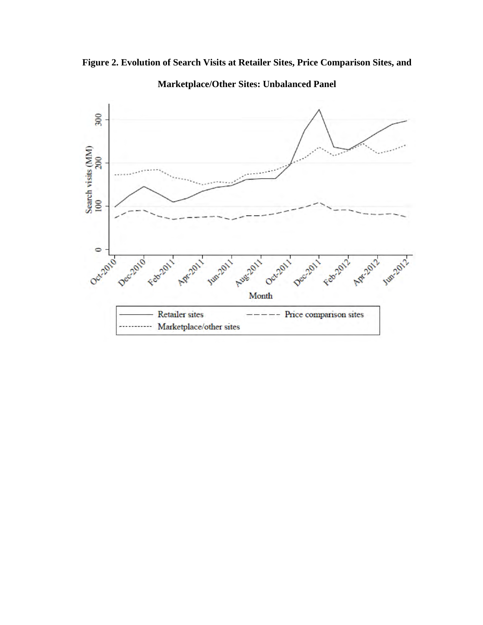



**Marketplace/Other Sites: Unbalanced Panel**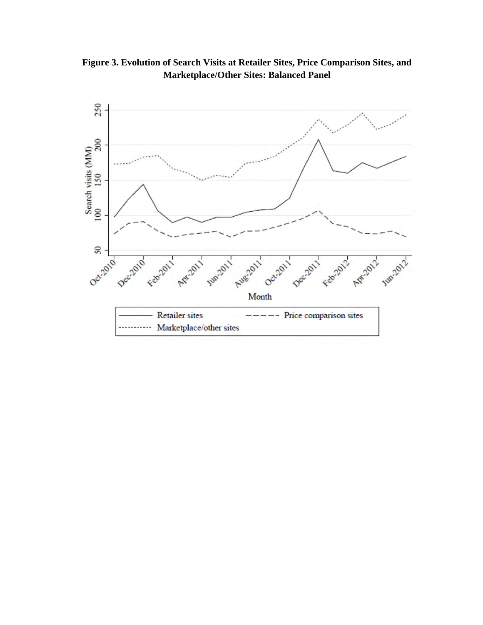**Figure 3. Evolution of Search Visits at Retailer Sites, Price Comparison Sites, and Marketplace/Other Sites: Balanced Panel** 

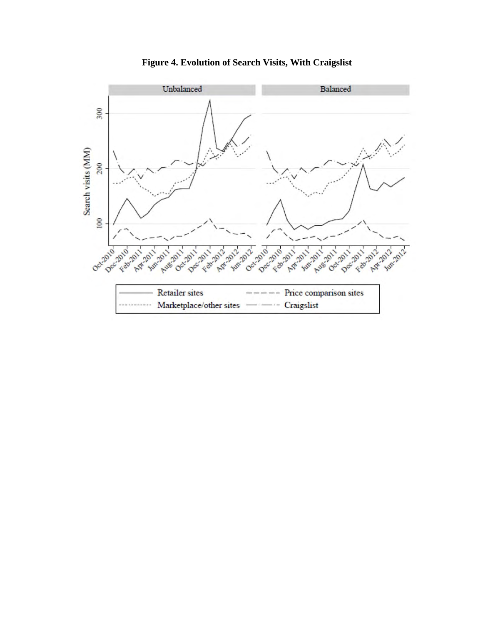

**Figure 4. Evolution of Search Visits, With Craigslist**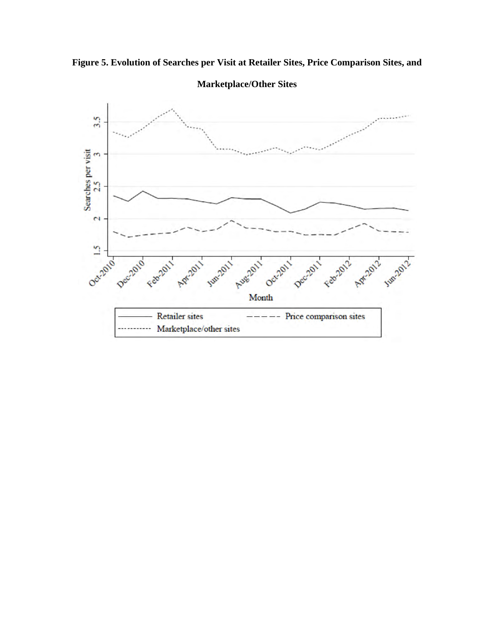



**Marketplace/Other Sites**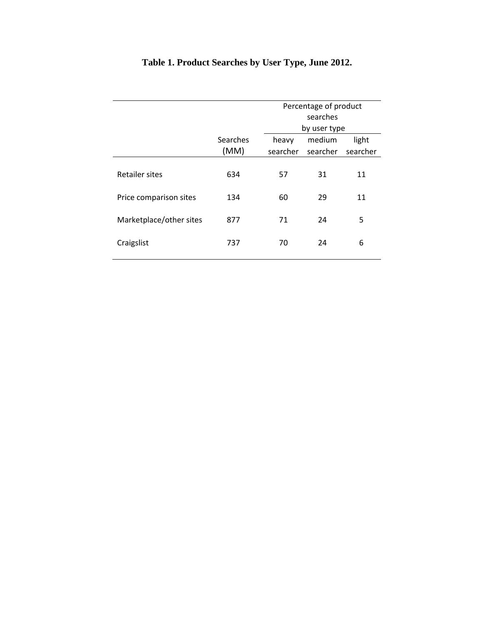|                         |          | Percentage of product |              |          |  |  |  |
|-------------------------|----------|-----------------------|--------------|----------|--|--|--|
|                         |          | searches              |              |          |  |  |  |
|                         |          |                       | by user type |          |  |  |  |
|                         | Searches | heavy                 | medium       | light    |  |  |  |
|                         | (MM)     | searcher              | searcher     | searcher |  |  |  |
|                         |          |                       |              |          |  |  |  |
| <b>Retailer sites</b>   | 634      | 57                    | 31           | 11       |  |  |  |
|                         |          |                       |              |          |  |  |  |
| Price comparison sites  | 134      | 60                    | 29           | 11       |  |  |  |
|                         |          |                       |              |          |  |  |  |
| Marketplace/other sites | 877      | 71                    | 24           | 5        |  |  |  |
|                         |          |                       |              |          |  |  |  |
| Craigslist              | 737      | 70                    | 24           | 6        |  |  |  |
|                         |          |                       |              |          |  |  |  |

# **Table 1. Product Searches by User Type, June 2012.**